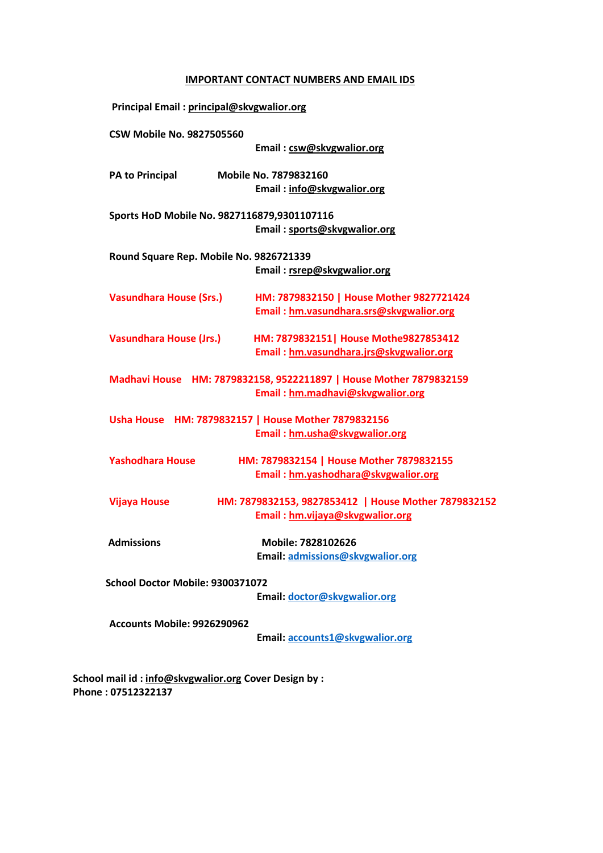#### **IMPORTANT CONTACT NUMBERS AND EMAIL IDS**

| Principal Email: principal@skvgwalior.org   |                                                                                                        |
|---------------------------------------------|--------------------------------------------------------------------------------------------------------|
| <b>CSW Mobile No. 9827505560</b>            | Email: csw@skvgwalior.org                                                                              |
| <b>PA to Principal</b>                      | Mobile No. 7879832160<br>Email: info@skvgwalior.org                                                    |
| Sports HoD Mobile No. 9827116879,9301107116 | Email: sports@skvgwalior.org                                                                           |
| Round Square Rep. Mobile No. 9826721339     | Email: rsrep@skvgwalior.org                                                                            |
| <b>Vasundhara House (Srs.)</b>              | HM: 7879832150   House Mother 9827721424<br>Email: hm.vasundhara.srs@skvgwalior.org                    |
| <b>Vasundhara House (Jrs.)</b>              | HM: 7879832151   House Mothe9827853412<br>Email: hm.vasundhara.jrs@skvgwalior.org                      |
|                                             | Madhavi House HM: 7879832158, 9522211897   House Mother 7879832159<br>Email: hm.madhavi@skvgwalior.org |
|                                             | Usha House HM: 7879832157   House Mother 7879832156<br>Email: hm.usha@skvgwalior.org                   |
| <b>Yashodhara House</b>                     | HM: 7879832154   House Mother 7879832155<br>Email: hm.yashodhara@skvgwalior.org                        |
| <b>Vijaya House</b>                         | HM: 7879832153, 9827853412   House Mother 7879832152<br>Email: hm.vijaya@skvgwalior.org                |
| <b>Admissions</b>                           | Mobile: 7828102626<br>Email: admissions@skvgwalior.org                                                 |
| School Doctor Mobile: 9300371072            | Email: doctor@skvgwalior.org                                                                           |
| Accounts Mobile: 9926290962                 | Email: accounts1@skvgwalior.org                                                                        |
|                                             |                                                                                                        |

**School mail id : [info@skvgwalior.org](mailto:info@skvgwalior.org) Cover Design by : Phone : 07512322137**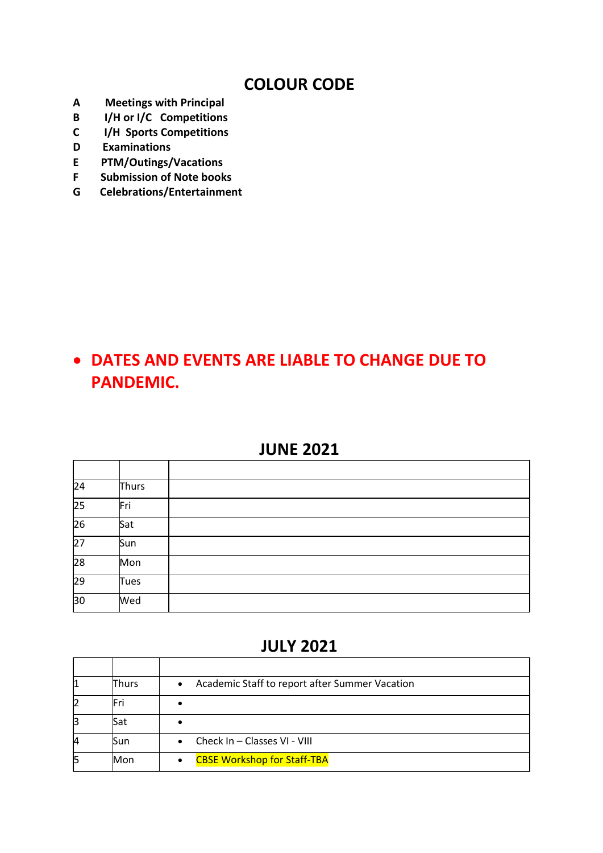## **COLOUR CODE**

- **A Meetings with Principal**
- **B I/H or I/C Competitions**
- **C I/H Sports Competitions**
- **D Examinations**

 $\overline{\Gamma}$ 

 $\top$ 

 $\top$ 

- **E PTM/Outings/Vacations**
- **F Submission of Note books**
- **G Celebrations/Entertainment**

# **DATES AND EVENTS ARE LIABLE TO CHANGE DUE TO PANDEMIC.**

| 24              | Thurs       |  |
|-----------------|-------------|--|
| 25              | Fri         |  |
| 26              | Sat         |  |
| $\overline{27}$ | Sun         |  |
| 28              | Mon         |  |
| 29              | <b>Tues</b> |  |
| 30              | Wed         |  |

#### **JUNE 2021**

#### **JULY 2021**

 $\overline{\phantom{a}}$ 

|    | Thurs | Academic Staff to report after Summer Vacation<br>$\bullet$ |
|----|-------|-------------------------------------------------------------|
|    | Fri   |                                                             |
| lЗ | Sat   |                                                             |
| 4  | Sun   | Check In - Classes VI - VIII                                |
| 5  | Mon   | <b>CBSE Workshop for Staff-TBA</b><br>$\bullet$             |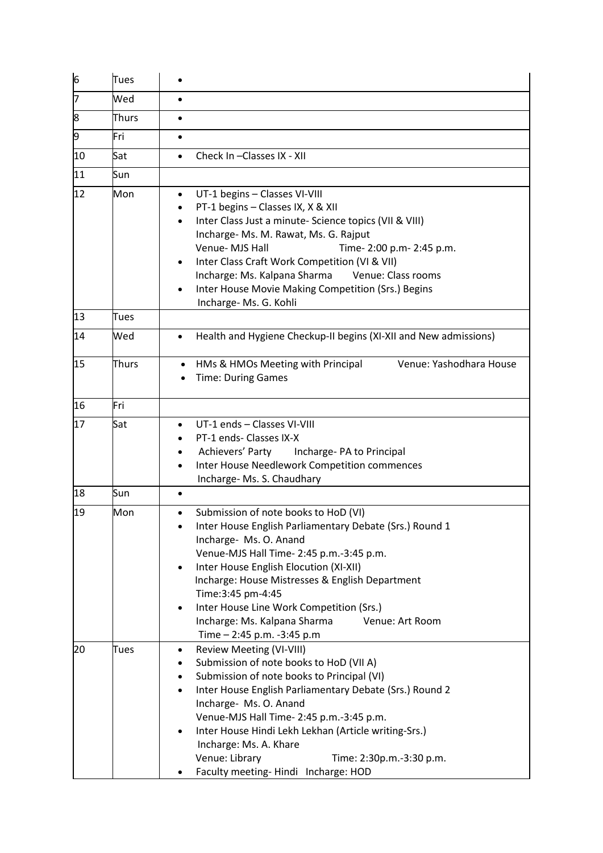| 6  | Tues  |                                                                                                                                                                                                                                                                                                                                                                                                                                                               |  |
|----|-------|---------------------------------------------------------------------------------------------------------------------------------------------------------------------------------------------------------------------------------------------------------------------------------------------------------------------------------------------------------------------------------------------------------------------------------------------------------------|--|
| 7  | Wed   | $\bullet$                                                                                                                                                                                                                                                                                                                                                                                                                                                     |  |
| 8  | Thurs | $\bullet$                                                                                                                                                                                                                                                                                                                                                                                                                                                     |  |
| 9  | Fri   | $\bullet$                                                                                                                                                                                                                                                                                                                                                                                                                                                     |  |
| 10 | Sat   | Check In-Classes IX - XII<br>$\bullet$                                                                                                                                                                                                                                                                                                                                                                                                                        |  |
| 11 | Sun   |                                                                                                                                                                                                                                                                                                                                                                                                                                                               |  |
| 12 | Mon   | UT-1 begins - Classes VI-VIII<br>$\bullet$<br>PT-1 begins - Classes IX, X & XII<br>Inter Class Just a minute- Science topics (VII & VIII)<br>$\bullet$<br>Incharge- Ms. M. Rawat, Ms. G. Rajput<br>Venue-MJS Hall<br>Time-2:00 p.m-2:45 p.m.<br>Inter Class Craft Work Competition (VI & VII)<br>$\bullet$<br>Incharge: Ms. Kalpana Sharma<br>Venue: Class rooms<br>Inter House Movie Making Competition (Srs.) Begins<br>Incharge-Ms. G. Kohli               |  |
| 13 | Tues  |                                                                                                                                                                                                                                                                                                                                                                                                                                                               |  |
| 14 | Wed   | Health and Hygiene Checkup-II begins (XI-XII and New admissions)<br>٠                                                                                                                                                                                                                                                                                                                                                                                         |  |
| 15 | Thurs | HMs & HMOs Meeting with Principal<br>Venue: Yashodhara House<br>$\bullet$<br><b>Time: During Games</b>                                                                                                                                                                                                                                                                                                                                                        |  |
| 16 | Fri   |                                                                                                                                                                                                                                                                                                                                                                                                                                                               |  |
| 17 | Sat   | UT-1 ends - Classes VI-VIII<br>$\bullet$<br>PT-1 ends- Classes IX-X<br>Achievers' Party Incharge-PA to Principal<br>$\bullet$<br>Inter House Needlework Competition commences<br>Incharge- Ms. S. Chaudhary                                                                                                                                                                                                                                                   |  |
| 18 | Sun   | ٠                                                                                                                                                                                                                                                                                                                                                                                                                                                             |  |
| 19 | Mon   | Submission of note books to HoD (VI)<br>$\bullet$<br>Inter House English Parliamentary Debate (Srs.) Round 1<br>Incharge- Ms. O. Anand<br>Venue-MJS Hall Time- 2:45 p.m.-3:45 p.m.<br>Inter House English Elocution (XI-XII)<br>٠<br>Incharge: House Mistresses & English Department<br>Time: 3:45 pm-4:45<br>Inter House Line Work Competition (Srs.)<br>$\bullet$<br>Incharge: Ms. Kalpana Sharma<br>Venue: Art Room<br>Time $-2:45$ p.m. $-3:45$ p.m       |  |
| 20 | Tues  | Review Meeting (VI-VIII)<br>٠<br>Submission of note books to HoD (VII A)<br>Submission of note books to Principal (VI)<br>٠<br>Inter House English Parliamentary Debate (Srs.) Round 2<br>$\bullet$<br>Incharge- Ms. O. Anand<br>Venue-MJS Hall Time- 2:45 p.m.-3:45 p.m.<br>Inter House Hindi Lekh Lekhan (Article writing-Srs.)<br>$\bullet$<br>Incharge: Ms. A. Khare<br>Venue: Library<br>Time: 2:30p.m.-3:30 p.m.<br>Faculty meeting-Hindi Incharge: HOD |  |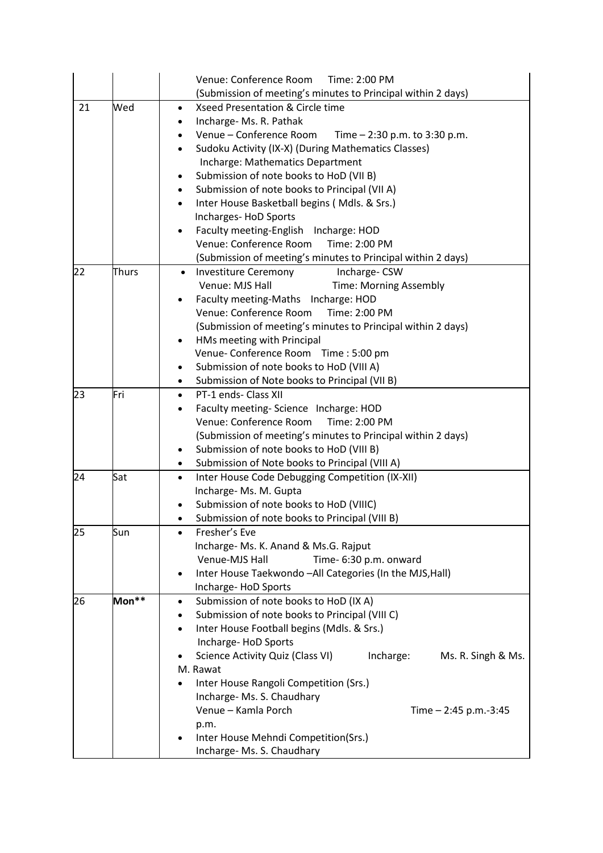|    |              | Venue: Conference Room<br>Time: 2:00 PM                                |
|----|--------------|------------------------------------------------------------------------|
|    |              | (Submission of meeting's minutes to Principal within 2 days)           |
| 21 | Wed          | Xseed Presentation & Circle time<br>$\bullet$                          |
|    |              | Incharge-Ms. R. Pathak<br>$\bullet$                                    |
|    |              | Venue - Conference Room<br>Time $-2:30$ p.m. to 3:30 p.m.<br>$\bullet$ |
|    |              | Sudoku Activity (IX-X) (During Mathematics Classes)<br>$\bullet$       |
|    |              | Incharge: Mathematics Department                                       |
|    |              | Submission of note books to HoD (VII B)<br>$\bullet$                   |
|    |              | Submission of note books to Principal (VII A)<br>$\bullet$             |
|    |              | Inter House Basketball begins (Mdls. & Srs.)<br>$\bullet$              |
|    |              | Incharges-HoD Sports                                                   |
|    |              | Faculty meeting-English Incharge: HOD<br>$\bullet$                     |
|    |              | Venue: Conference Room<br>Time: 2:00 PM                                |
|    |              | (Submission of meeting's minutes to Principal within 2 days)           |
| 22 | <b>Thurs</b> | <b>Investiture Ceremony</b><br>Incharge-CSW<br>$\bullet$               |
|    |              | Venue: MJS Hall<br>Time: Morning Assembly                              |
|    |              | Faculty meeting-Maths Incharge: HOD<br>$\bullet$                       |
|    |              | Venue: Conference Room<br>Time: 2:00 PM                                |
|    |              | (Submission of meeting's minutes to Principal within 2 days)           |
|    |              | HMs meeting with Principal<br>٠<br>Venue-Conference Room Time: 5:00 pm |
|    |              | Submission of note books to HoD (VIII A)<br>$\bullet$                  |
|    |              | Submission of Note books to Principal (VII B)<br>$\bullet$             |
| 23 | Fri          | PT-1 ends- Class XII<br>$\bullet$                                      |
|    |              | Faculty meeting- Science Incharge: HOD<br>$\bullet$                    |
|    |              | Venue: Conference Room<br>Time: 2:00 PM                                |
|    |              | (Submission of meeting's minutes to Principal within 2 days)           |
|    |              | Submission of note books to HoD (VIII B)                               |
|    |              | Submission of Note books to Principal (VIII A)<br>$\bullet$            |
| 24 | Sat          | Inter House Code Debugging Competition (IX-XII)<br>$\bullet$           |
|    |              | Incharge-Ms. M. Gupta                                                  |
|    |              | Submission of note books to HoD (VIIIC)                                |
|    |              | Submission of note books to Principal (VIII B)                         |
| 25 | Sun          | Fresher's Eve<br>$\bullet$                                             |
|    |              | Incharge- Ms. K. Anand & Ms.G. Rajput                                  |
|    |              | Venue-MJS Hall<br>Time- 6:30 p.m. onward                               |
|    |              | Inter House Taekwondo - All Categories (In the MJS, Hall)<br>$\bullet$ |
|    |              | Incharge-HoD Sports                                                    |
| 26 | Mon**        | Submission of note books to HoD (IX A)<br>$\bullet$                    |
|    |              | Submission of note books to Principal (VIII C)<br>٠                    |
|    |              | Inter House Football begins (Mdls. & Srs.)                             |
|    |              | Incharge-HoD Sports                                                    |
|    |              | Science Activity Quiz (Class VI)<br>Incharge:<br>Ms. R. Singh & Ms.    |
|    |              | M. Rawat                                                               |
|    |              | Inter House Rangoli Competition (Srs.)                                 |
|    |              | Incharge- Ms. S. Chaudhary                                             |
|    |              | Venue - Kamla Porch<br>Time $- 2:45$ p.m.-3:45                         |
|    |              | p.m.                                                                   |
|    |              | Inter House Mehndi Competition(Srs.)<br>Incharge- Ms. S. Chaudhary     |
|    |              |                                                                        |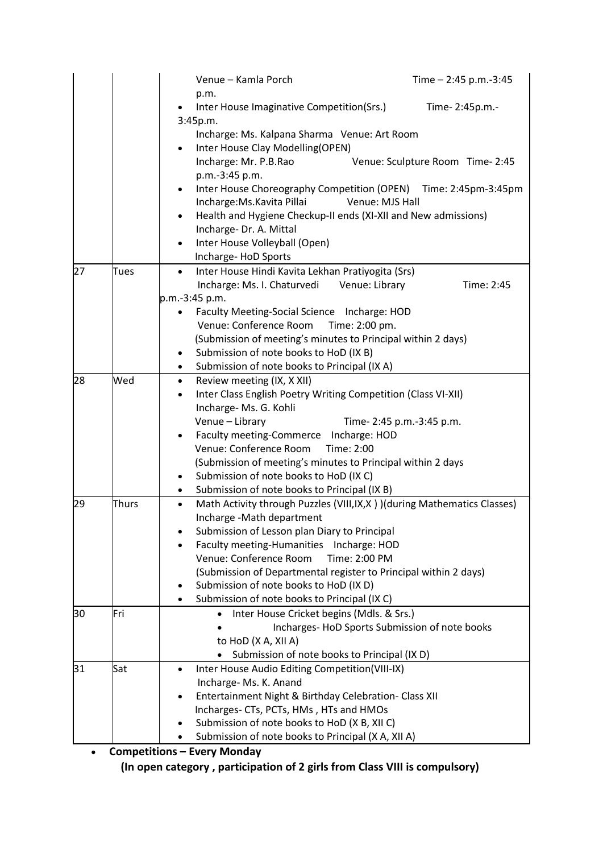|    |              | Venue - Kamla Porch                                                                                             | Time $- 2:45 p.m.-3:45$ |
|----|--------------|-----------------------------------------------------------------------------------------------------------------|-------------------------|
|    |              | p.m.                                                                                                            |                         |
|    |              | Inter House Imaginative Competition(Srs.)                                                                       | Time-2:45p.m.-          |
|    |              | 3:45p.m.                                                                                                        |                         |
|    |              | Incharge: Ms. Kalpana Sharma Venue: Art Room<br>Inter House Clay Modelling(OPEN)<br>$\bullet$                   |                         |
|    |              | Incharge: Mr. P.B.Rao<br>Venue: Sculpture Room Time-2:45                                                        |                         |
|    |              | p.m.-3:45 p.m.                                                                                                  |                         |
|    |              | Inter House Choreography Competition (OPEN) Time: 2:45pm-3:45pm<br>$\bullet$                                    |                         |
|    |              | Incharge: Ms. Kavita Pillai<br>Venue: MJS Hall                                                                  |                         |
|    |              | Health and Hygiene Checkup-II ends (XI-XII and New admissions)<br>$\bullet$                                     |                         |
|    |              | Incharge- Dr. A. Mittal                                                                                         |                         |
|    |              | Inter House Volleyball (Open)<br>$\bullet$                                                                      |                         |
| 27 |              | Incharge-HoD Sports                                                                                             |                         |
|    | Tues         | Inter House Hindi Kavita Lekhan Pratiyogita (Srs)<br>$\bullet$<br>Incharge: Ms. I. Chaturvedi<br>Venue: Library | Time: 2:45              |
|    |              | p.m.-3:45 p.m.                                                                                                  |                         |
|    |              | Faculty Meeting-Social Science Incharge: HOD<br>$\bullet$                                                       |                         |
|    |              | Venue: Conference Room<br>Time: 2:00 pm.                                                                        |                         |
|    |              | (Submission of meeting's minutes to Principal within 2 days)                                                    |                         |
|    |              | Submission of note books to HoD (IX B)<br>$\bullet$                                                             |                         |
|    |              | Submission of note books to Principal (IX A)<br>$\bullet$                                                       |                         |
| 28 | Wed          | Review meeting (IX, X XII)<br>$\bullet$                                                                         |                         |
|    |              | Inter Class English Poetry Writing Competition (Class VI-XII)<br>$\bullet$                                      |                         |
|    |              | Incharge-Ms. G. Kohli                                                                                           |                         |
|    |              | Venue - Library<br>Time-2:45 p.m.-3:45 p.m.<br>Faculty meeting-Commerce Incharge: HOD                           |                         |
|    |              | Venue: Conference Room<br>Time: 2:00                                                                            |                         |
|    |              | (Submission of meeting's minutes to Principal within 2 days                                                     |                         |
|    |              | Submission of note books to HoD (IX C)<br>$\bullet$                                                             |                         |
|    |              | Submission of note books to Principal (IX B)                                                                    |                         |
| 29 | <b>Thurs</b> | Math Activity through Puzzles (VIII, IX, X) ) (during Mathematics Classes)<br>$\bullet$                         |                         |
|    |              | Incharge -Math department                                                                                       |                         |
|    |              | Submission of Lesson plan Diary to Principal                                                                    |                         |
|    |              | Faculty meeting-Humanities Incharge: HOD                                                                        |                         |
|    |              | Venue: Conference Room<br>Time: 2:00 PM                                                                         |                         |
|    |              | (Submission of Departmental register to Principal within 2 days)<br>Submission of note books to HoD (IX D)      |                         |
|    |              | Submission of note books to Principal (IX C)                                                                    |                         |
| 30 | Fri          | Inter House Cricket begins (Mdls. & Srs.)                                                                       |                         |
|    |              | Incharges-HoD Sports Submission of note books                                                                   |                         |
|    |              | to HoD (X A, XII A)                                                                                             |                         |
|    |              | Submission of note books to Principal (IX D)                                                                    |                         |
| 31 | Sat          | Inter House Audio Editing Competition(VIII-IX)<br>$\bullet$                                                     |                         |
|    |              | Incharge- Ms. K. Anand                                                                                          |                         |
|    |              | Entertainment Night & Birthday Celebration- Class XII                                                           |                         |
|    |              | Incharges- CTs, PCTs, HMs, HTs and HMOs                                                                         |                         |
|    |              | Submission of note books to HoD (X B, XII C)                                                                    |                         |
|    |              | Submission of note books to Principal (X A, XII A)                                                              |                         |

 **Competitions – Every Monday (In open category , participation of 2 girls from Class VIII is compulsory)**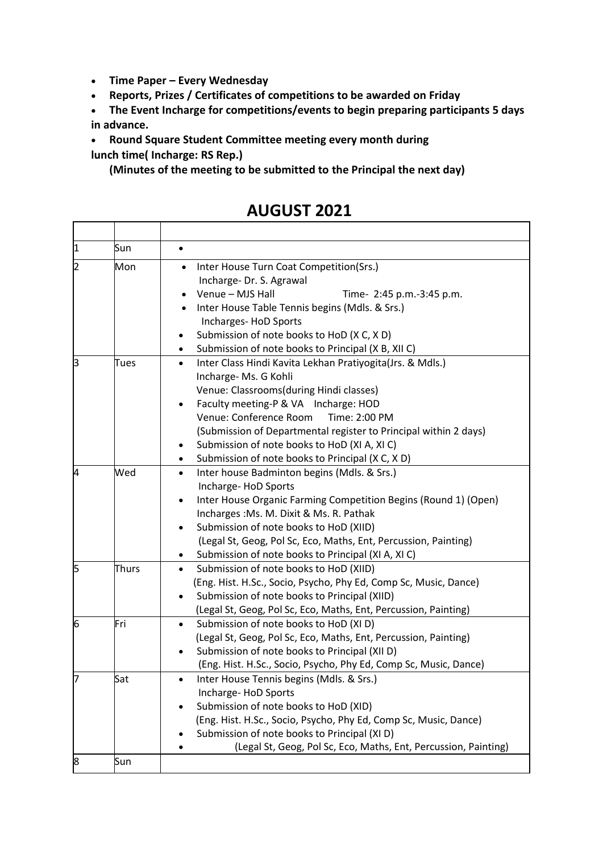- **Time Paper – Every Wednesday**
- **Reports, Prizes / Certificates of competitions to be awarded on Friday**
- **The Event Incharge for competitions/events to begin preparing participants 5 days in advance.**

**Round Square Student Committee meeting every month during** 

**lunch time( Incharge: RS Rep.)**

**(Minutes of the meeting to be submitted to the Principal the next day)**

| 1              | Sun          | $\bullet$                                                                                                                                                                                                                                                                                                                                                                                            |
|----------------|--------------|------------------------------------------------------------------------------------------------------------------------------------------------------------------------------------------------------------------------------------------------------------------------------------------------------------------------------------------------------------------------------------------------------|
| $\overline{2}$ | Mon          | Inter House Turn Coat Competition(Srs.)<br>$\bullet$<br>Incharge- Dr. S. Agrawal<br>Venue - MJS Hall<br>Time- 2:45 p.m.-3:45 p.m.<br>Inter House Table Tennis begins (Mdls. & Srs.)<br>Incharges-HoD Sports<br>Submission of note books to HoD (X C, X D)<br>Submission of note books to Principal (X B, XII C)                                                                                      |
| lз             | Tues         | Inter Class Hindi Kavita Lekhan Pratiyogita(Jrs. & Mdls.)<br>$\bullet$<br>Incharge-Ms. G Kohli<br>Venue: Classrooms(during Hindi classes)<br>Faculty meeting-P & VA Incharge: HOD<br>Venue: Conference Room<br>Time: 2:00 PM<br>(Submission of Departmental register to Principal within 2 days)<br>Submission of note books to HoD (XI A, XI C)<br>Submission of note books to Principal (X C, X D) |
| 4              | Wed          | Inter house Badminton begins (Mdls. & Srs.)<br>$\bullet$<br>Incharge-HoD Sports<br>Inter House Organic Farming Competition Begins (Round 1) (Open)<br>Incharges : Ms. M. Dixit & Ms. R. Pathak<br>Submission of note books to HoD (XIID)<br>(Legal St, Geog, Pol Sc, Eco, Maths, Ent, Percussion, Painting)<br>Submission of note books to Principal (XI A, XI C)                                    |
| 5              | <b>Thurs</b> | Submission of note books to HoD (XIID)<br>$\bullet$<br>(Eng. Hist. H.Sc., Socio, Psycho, Phy Ed, Comp Sc, Music, Dance)<br>Submission of note books to Principal (XIID)<br>(Legal St, Geog, Pol Sc, Eco, Maths, Ent, Percussion, Painting)                                                                                                                                                           |
| 6              | Fri          | Submission of note books to HoD (XI D)<br>$\bullet$<br>(Legal St, Geog, Pol Sc, Eco, Maths, Ent, Percussion, Painting)<br>Submission of note books to Principal (XII D)<br>(Eng. Hist. H.Sc., Socio, Psycho, Phy Ed, Comp Sc, Music, Dance)                                                                                                                                                          |
| 8              | Sat<br>Sun   | Inter House Tennis begins (Mdls. & Srs.)<br>Incharge-HoD Sports<br>Submission of note books to HoD (XID)<br>(Eng. Hist. H.Sc., Socio, Psycho, Phy Ed, Comp Sc, Music, Dance)<br>Submission of note books to Principal (XI D)<br>(Legal St, Geog, Pol Sc, Eco, Maths, Ent, Percussion, Painting)                                                                                                      |

### **AUGUST 2021**

٦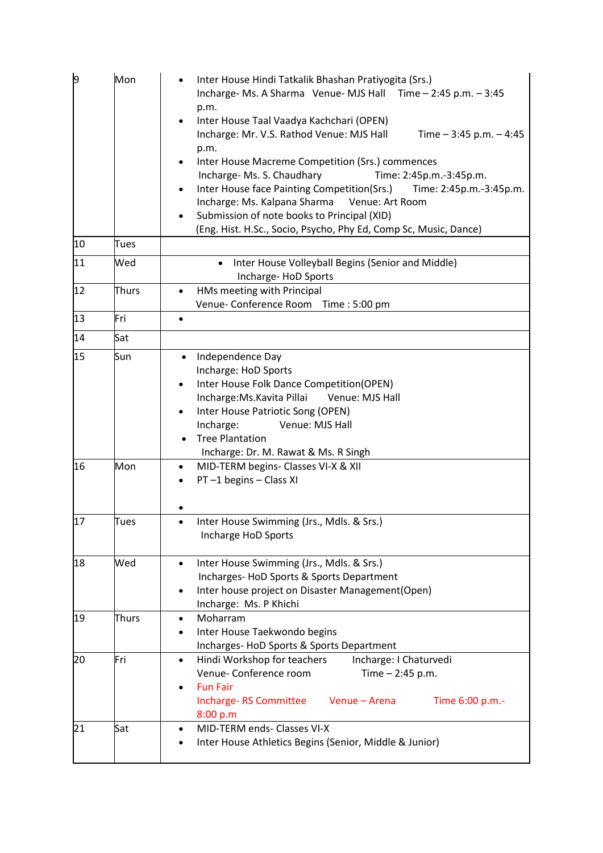| 9  | Mon         | Inter House Hindi Tatkalik Bhashan Pratiyogita (Srs.)<br>Incharge- Ms. A Sharma Venue- MJS Hall Time - 2:45 p.m. - 3:45<br>p.m.<br>Inter House Taal Vaadya Kachchari (OPEN)<br>Incharge: Mr. V.S. Rathod Venue: MJS Hall<br>Time $-3:45$ p.m. $-4:45$<br>p.m.<br>Inter House Macreme Competition (Srs.) commences<br>Incharge- Ms. S. Chaudhary<br>Time: 2:45p.m.-3:45p.m.<br>Inter House face Painting Competition(Srs.)<br>Time: 2:45p.m.-3:45p.m.<br>$\bullet$<br>Incharge: Ms. Kalpana Sharma<br>Venue: Art Room<br>Submission of note books to Principal (XID)<br>(Eng. Hist. H.Sc., Socio, Psycho, Phy Ed, Comp Sc, Music, Dance) |
|----|-------------|-----------------------------------------------------------------------------------------------------------------------------------------------------------------------------------------------------------------------------------------------------------------------------------------------------------------------------------------------------------------------------------------------------------------------------------------------------------------------------------------------------------------------------------------------------------------------------------------------------------------------------------------|
| 10 | Tues        |                                                                                                                                                                                                                                                                                                                                                                                                                                                                                                                                                                                                                                         |
| 11 | Wed         | Inter House Volleyball Begins (Senior and Middle)<br>$\bullet$<br>Incharge-HoD Sports                                                                                                                                                                                                                                                                                                                                                                                                                                                                                                                                                   |
| 12 | Thurs       | HMs meeting with Principal<br>Venue-Conference Room Time: 5:00 pm                                                                                                                                                                                                                                                                                                                                                                                                                                                                                                                                                                       |
| 13 | Fri         | $\bullet$                                                                                                                                                                                                                                                                                                                                                                                                                                                                                                                                                                                                                               |
| 14 | Sat         |                                                                                                                                                                                                                                                                                                                                                                                                                                                                                                                                                                                                                                         |
| 15 | Sun         | Independence Day<br>Incharge: HoD Sports<br>Inter House Folk Dance Competition(OPEN)<br>$\bullet$<br>Incharge: Ms. Kavita Pillai<br>Venue: MJS Hall<br>Inter House Patriotic Song (OPEN)<br>Incharge:<br>Venue: MJS Hall<br><b>Tree Plantation</b><br>Incharge: Dr. M. Rawat & Ms. R Singh                                                                                                                                                                                                                                                                                                                                              |
| 16 | Mon         | MID-TERM begins- Classes VI-X & XII<br>PT-1 begins - Class XI                                                                                                                                                                                                                                                                                                                                                                                                                                                                                                                                                                           |
| 17 | <b>Tues</b> | Inter House Swimming (Jrs., Mdls. & Srs.)<br>$\bullet$<br>Incharge HoD Sports                                                                                                                                                                                                                                                                                                                                                                                                                                                                                                                                                           |
| 18 | Wed         | Inter House Swimming (Jrs., Mdls. & Srs.)<br>$\bullet$<br>Incharges-HoD Sports & Sports Department<br>Inter house project on Disaster Management(Open)<br>$\bullet$<br>Incharge: Ms. P Khichi                                                                                                                                                                                                                                                                                                                                                                                                                                           |
| 19 | Thurs       | Moharram<br>Inter House Taekwondo begins<br>Incharges- HoD Sports & Sports Department                                                                                                                                                                                                                                                                                                                                                                                                                                                                                                                                                   |
| 20 | Fri         | Hindi Workshop for teachers<br>Incharge: I Chaturvedi<br>$\bullet$<br>Venue-Conference room<br>Time $-2:45$ p.m.<br><b>Fun Fair</b><br>Incharge-RS Committee<br>Venue - Arena<br>Time 6:00 p.m.-<br>8:00 p.m                                                                                                                                                                                                                                                                                                                                                                                                                            |
| 21 | Sat         | MID-TERM ends- Classes VI-X<br>Inter House Athletics Begins (Senior, Middle & Junior)                                                                                                                                                                                                                                                                                                                                                                                                                                                                                                                                                   |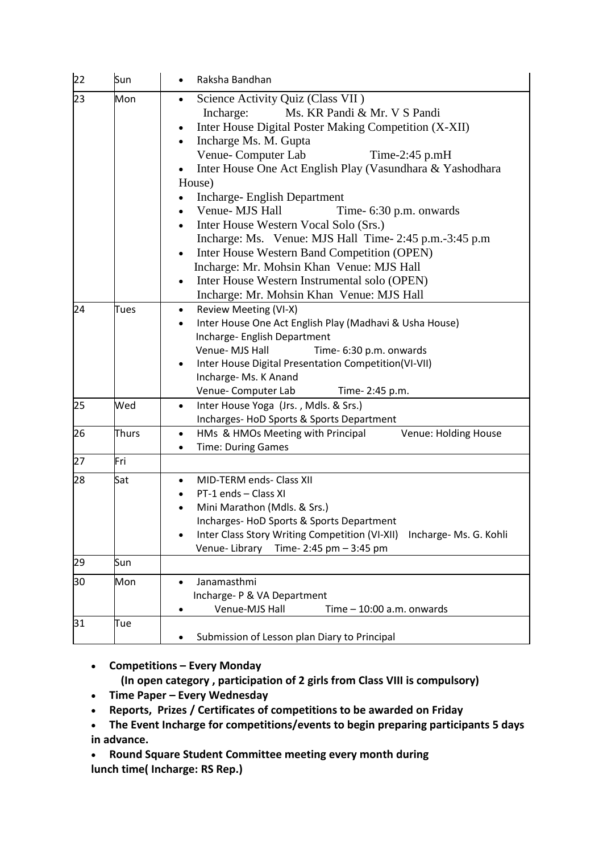| 22 | Sun          | Raksha Bandhan                                                                                                                                                                                                                                                                                                                                                                                                                                                                                                                                                                                                                                                                       |
|----|--------------|--------------------------------------------------------------------------------------------------------------------------------------------------------------------------------------------------------------------------------------------------------------------------------------------------------------------------------------------------------------------------------------------------------------------------------------------------------------------------------------------------------------------------------------------------------------------------------------------------------------------------------------------------------------------------------------|
| 23 | Mon          | Science Activity Quiz (Class VII)<br>$\bullet$<br>Ms. KR Pandi & Mr. V S Pandi<br>Incharge:<br>Inter House Digital Poster Making Competition (X-XII)<br>$\bullet$<br>Incharge Ms. M. Gupta<br>Venue-Computer Lab<br>Time-2:45 $p.mH$<br>Inter House One Act English Play (Vasundhara & Yashodhara<br>House)<br>Incharge-English Department<br>Venue- MJS Hall<br>Time- 6:30 p.m. onwards<br>Inter House Western Vocal Solo (Srs.)<br>Incharge: Ms. Venue: MJS Hall Time-2:45 p.m.-3:45 p.m.<br>Inter House Western Band Competition (OPEN)<br>Incharge: Mr. Mohsin Khan Venue: MJS Hall<br>Inter House Western Instrumental solo (OPEN)<br>Incharge: Mr. Mohsin Khan Venue: MJS Hall |
| 24 | Tues         | Review Meeting (VI-X)<br>$\bullet$<br>Inter House One Act English Play (Madhavi & Usha House)<br>Incharge- English Department<br>Venue-MJS Hall<br>Time- 6:30 p.m. onwards<br>Inter House Digital Presentation Competition(VI-VII)<br>Incharge- Ms. K Anand<br>Venue-Computer Lab<br>Time- 2:45 p.m.                                                                                                                                                                                                                                                                                                                                                                                 |
| 25 | Wed          | Inter House Yoga (Jrs., Mdls. & Srs.)<br>Incharges- HoD Sports & Sports Department                                                                                                                                                                                                                                                                                                                                                                                                                                                                                                                                                                                                   |
| 26 | <b>Thurs</b> | HMs & HMOs Meeting with Principal<br>Venue: Holding House<br>$\bullet$<br><b>Time: During Games</b>                                                                                                                                                                                                                                                                                                                                                                                                                                                                                                                                                                                  |
| 27 | Fri          |                                                                                                                                                                                                                                                                                                                                                                                                                                                                                                                                                                                                                                                                                      |
| 28 | Sat          | MID-TERM ends- Class XII<br>$\bullet$<br>PT-1 ends - Class XI<br>$\bullet$<br>Mini Marathon (Mdls. & Srs.)<br>Incharges- HoD Sports & Sports Department<br>Inter Class Story Writing Competition (VI-XII)<br>Incharge- Ms. G. Kohli<br>Venue-Library<br>Time-2:45 pm - 3:45 pm                                                                                                                                                                                                                                                                                                                                                                                                       |
| 29 | Sun          |                                                                                                                                                                                                                                                                                                                                                                                                                                                                                                                                                                                                                                                                                      |
| 30 | Mon          | Janamasthmi<br>Incharge- P & VA Department<br>Venue-MJS Hall<br>Time $-10:00$ a.m. onwards                                                                                                                                                                                                                                                                                                                                                                                                                                                                                                                                                                                           |
| 31 | Tue          | Submission of Lesson plan Diary to Principal                                                                                                                                                                                                                                                                                                                                                                                                                                                                                                                                                                                                                                         |

**(In open category , participation of 2 girls from Class VIII is compulsory)**

- **Time Paper – Every Wednesday**
- **Reports, Prizes / Certificates of competitions to be awarded on Friday**
- **The Event Incharge for competitions/events to begin preparing participants 5 days in advance.**

 **Round Square Student Committee meeting every month during lunch time( Incharge: RS Rep.)**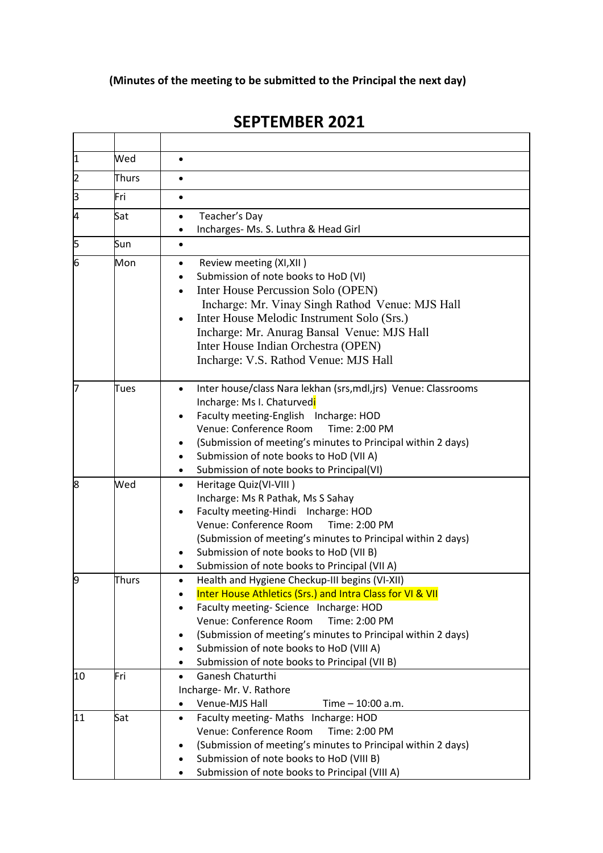**(Minutes of the meeting to be submitted to the Principal the next day)**

| 1              | Wed          | $\bullet$                                                                        |
|----------------|--------------|----------------------------------------------------------------------------------|
| $\overline{2}$ | <b>Thurs</b> | $\bullet$                                                                        |
| 3              | Fri          | $\bullet$                                                                        |
| 4              | Sat          | Teacher's Day<br>$\bullet$                                                       |
|                |              | Incharges- Ms. S. Luthra & Head Girl                                             |
| 5              | Sun          | $\bullet$                                                                        |
| 6              | Mon          | Review meeting (XI, XII)<br>$\bullet$                                            |
|                |              | Submission of note books to HoD (VI)<br>$\bullet$                                |
|                |              | Inter House Percussion Solo (OPEN)                                               |
|                |              | Incharge: Mr. Vinay Singh Rathod Venue: MJS Hall                                 |
|                |              | Inter House Melodic Instrument Solo (Srs.)                                       |
|                |              | Incharge: Mr. Anurag Bansal Venue: MJS Hall                                      |
|                |              | Inter House Indian Orchestra (OPEN)                                              |
|                |              | Incharge: V.S. Rathod Venue: MJS Hall                                            |
| $\overline{7}$ | Tues         | Inter house/class Nara lekhan (srs, mdl, jrs) Venue: Classrooms                  |
|                |              | Incharge: Ms I. Chaturvedi                                                       |
|                |              | Faculty meeting-English Incharge: HOD                                            |
|                |              | Venue: Conference Room Time: 2:00 PM                                             |
|                |              | (Submission of meeting's minutes to Principal within 2 days)                     |
|                |              | Submission of note books to HoD (VII A)                                          |
|                |              | Submission of note books to Principal(VI)                                        |
| 8              | Wed          | Heritage Quiz(VI-VIII)<br>$\bullet$                                              |
|                |              | Incharge: Ms R Pathak, Ms S Sahay                                                |
|                |              | Faculty meeting-Hindi Incharge: HOD                                              |
|                |              | Venue: Conference Room<br>Time: 2:00 PM                                          |
|                |              | (Submission of meeting's minutes to Principal within 2 days)                     |
|                |              | Submission of note books to HoD (VII B)                                          |
|                |              | Submission of note books to Principal (VII A)                                    |
| 9              | <b>Thurs</b> | Health and Hygiene Checkup-III begins (VI-XII)<br>$\bullet$                      |
|                |              | Inter House Athletics (Srs.) and Intra Class for VI & VII                        |
|                |              | Faculty meeting-Science Incharge: HOD<br>Venue: Conference Room<br>Time: 2:00 PM |
|                |              | (Submission of meeting's minutes to Principal within 2 days)                     |
|                |              | Submission of note books to HoD (VIII A)                                         |
|                |              | Submission of note books to Principal (VII B)                                    |
| 10             | Fri          | Ganesh Chaturthi<br>$\bullet$                                                    |
|                |              | Incharge- Mr. V. Rathore                                                         |
|                |              | Venue-MJS Hall<br>Time - 10:00 a.m.                                              |
| 11             | Sat          | Faculty meeting- Maths Incharge: HOD<br>$\bullet$                                |
|                |              | Venue: Conference Room<br>Time: 2:00 PM                                          |
|                |              | (Submission of meeting's minutes to Principal within 2 days)                     |
|                |              | Submission of note books to HoD (VIII B)                                         |
|                |              | Submission of note books to Principal (VIII A)                                   |

# **SEPTEMBER 2021**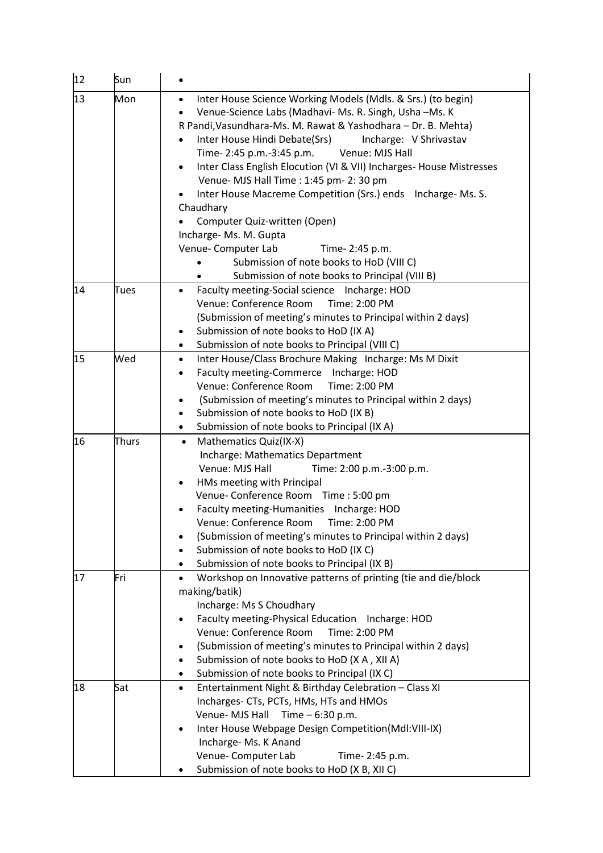| 12 | Sun          |                                                                                                                                                                                                                                                                                                                                                                                                                                                                                                                                                                                                                                                                                                                                         |
|----|--------------|-----------------------------------------------------------------------------------------------------------------------------------------------------------------------------------------------------------------------------------------------------------------------------------------------------------------------------------------------------------------------------------------------------------------------------------------------------------------------------------------------------------------------------------------------------------------------------------------------------------------------------------------------------------------------------------------------------------------------------------------|
| 13 | Mon          | Inter House Science Working Models (Mdls. & Srs.) (to begin)<br>$\bullet$<br>Venue-Science Labs (Madhavi- Ms. R. Singh, Usha -Ms. K<br>$\bullet$<br>R Pandi, Vasundhara-Ms. M. Rawat & Yashodhara - Dr. B. Mehta)<br>Inter House Hindi Debate(Srs)<br>Incharge: V Shrivastav<br>Time- 2:45 p.m.-3:45 p.m.<br>Venue: MJS Hall<br>Inter Class English Elocution (VI & VII) Incharges- House Mistresses<br>$\bullet$<br>Venue- MJS Hall Time: 1:45 pm-2:30 pm<br>Inter House Macreme Competition (Srs.) ends Incharge-Ms. S.<br>Chaudhary<br>Computer Quiz-written (Open)<br>Incharge-Ms. M. Gupta<br>Venue- Computer Lab<br>Time- 2:45 p.m.<br>Submission of note books to HoD (VIII C)<br>Submission of note books to Principal (VIII B) |
| 14 | Tues         | Faculty meeting-Social science Incharge: HOD<br>$\bullet$<br>Venue: Conference Room<br>Time: 2:00 PM<br>(Submission of meeting's minutes to Principal within 2 days)<br>Submission of note books to HoD (IX A)<br>٠<br>Submission of note books to Principal (VIII C)                                                                                                                                                                                                                                                                                                                                                                                                                                                                   |
| 15 | Wed          | Inter House/Class Brochure Making Incharge: Ms M Dixit<br>$\bullet$<br>Faculty meeting-Commerce Incharge: HOD<br>$\bullet$<br>Venue: Conference Room<br>Time: 2:00 PM<br>(Submission of meeting's minutes to Principal within 2 days)<br>$\bullet$<br>Submission of note books to HoD (IX B)<br>$\bullet$<br>Submission of note books to Principal (IX A)                                                                                                                                                                                                                                                                                                                                                                               |
| 16 | <b>Thurs</b> | Mathematics Quiz(IX-X)<br>$\bullet$<br>Incharge: Mathematics Department<br>Venue: MJS Hall<br>Time: 2:00 p.m.-3:00 p.m.<br>HMs meeting with Principal<br>٠<br>Venue-Conference Room Time: 5:00 pm<br>Faculty meeting-Humanities Incharge: HOD<br>Venue: Conference Room<br>Time: 2:00 PM<br>(Submission of meeting's minutes to Principal within 2 days)<br>Submission of note books to HoD (IX C)<br>Submission of note books to Principal (IX B)                                                                                                                                                                                                                                                                                      |
| 17 | Fri          | Workshop on Innovative patterns of printing (tie and die/block<br>making/batik)<br>Incharge: Ms S Choudhary<br>Faculty meeting-Physical Education Incharge: HOD<br>Venue: Conference Room<br>Time: 2:00 PM<br>(Submission of meeting's minutes to Principal within 2 days)<br>Submission of note books to HoD (X A, XII A)<br>Submission of note books to Principal (IX C)                                                                                                                                                                                                                                                                                                                                                              |
| 18 | Sat          | Entertainment Night & Birthday Celebration - Class XI<br>$\bullet$<br>Incharges- CTs, PCTs, HMs, HTs and HMOs<br>Venue- MJS Hall<br>Time $-6:30$ p.m.<br>Inter House Webpage Design Competition(Mdl:VIII-IX)<br>Incharge- Ms. K Anand<br>Venue- Computer Lab<br>Time- 2:45 p.m.<br>Submission of note books to HoD (X B, XII C)                                                                                                                                                                                                                                                                                                                                                                                                         |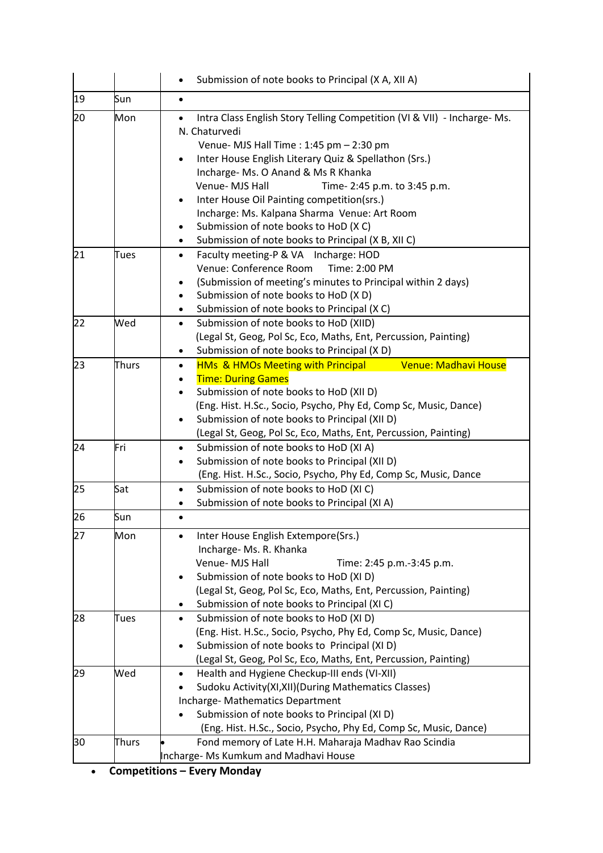|    |              | Submission of note books to Principal (X A, XII A)<br>٠                                                                                                                                                                                                                                                                                                                                                                                                          |
|----|--------------|------------------------------------------------------------------------------------------------------------------------------------------------------------------------------------------------------------------------------------------------------------------------------------------------------------------------------------------------------------------------------------------------------------------------------------------------------------------|
| 19 | Sun          | $\bullet$                                                                                                                                                                                                                                                                                                                                                                                                                                                        |
| 20 | Mon          | Intra Class English Story Telling Competition (VI & VII) - Incharge-Ms.<br>٠<br>N. Chaturvedi<br>Venue- MJS Hall Time: 1:45 pm - 2:30 pm<br>Inter House English Literary Quiz & Spellathon (Srs.)<br>$\bullet$<br>Incharge- Ms. O Anand & Ms R Khanka<br>Venue-MJS Hall<br>Time- 2:45 p.m. to 3:45 p.m.<br>Inter House Oil Painting competition(srs.)<br>$\bullet$<br>Incharge: Ms. Kalpana Sharma Venue: Art Room<br>Submission of note books to HoD (X C)<br>٠ |
|    |              | Submission of note books to Principal (X B, XII C)<br>$\bullet$                                                                                                                                                                                                                                                                                                                                                                                                  |
| 21 | Tues         | Faculty meeting-P & VA Incharge: HOD<br>$\bullet$<br>Venue: Conference Room<br>Time: 2:00 PM<br>(Submission of meeting's minutes to Principal within 2 days)<br>$\bullet$<br>Submission of note books to HoD (X D)<br>٠<br>Submission of note books to Principal (XC)                                                                                                                                                                                            |
| 22 | Wed          | Submission of note books to HoD (XIID)<br>$\bullet$<br>(Legal St, Geog, Pol Sc, Eco, Maths, Ent, Percussion, Painting)<br>Submission of note books to Principal (X D)<br>$\bullet$                                                                                                                                                                                                                                                                               |
| 23 | Thurs        | <b>HMs &amp; HMOs Meeting with Principal Convict Madhavi House</b><br>$\bullet$<br><b>Time: During Games</b><br>Submission of note books to HoD (XII D)<br>$\bullet$<br>(Eng. Hist. H.Sc., Socio, Psycho, Phy Ed, Comp Sc, Music, Dance)<br>Submission of note books to Principal (XII D)<br>$\bullet$<br>(Legal St, Geog, Pol Sc, Eco, Maths, Ent, Percussion, Painting)                                                                                        |
| 24 | Fri          | Submission of note books to HoD (XI A)<br>$\bullet$<br>Submission of note books to Principal (XII D)<br>(Eng. Hist. H.Sc., Socio, Psycho, Phy Ed, Comp Sc, Music, Dance                                                                                                                                                                                                                                                                                          |
| 25 | Sat          | Submission of note books to HoD (XIC)<br>$\bullet$<br>Submission of note books to Principal (XI A)<br>$\bullet$                                                                                                                                                                                                                                                                                                                                                  |
| 26 | Sun          | $\bullet$                                                                                                                                                                                                                                                                                                                                                                                                                                                        |
| 27 | Mon          | Inter House English Extempore(Srs.)<br>$\bullet$<br>Incharge- Ms. R. Khanka<br>Venue-MJS Hall<br>Time: 2:45 p.m.-3:45 p.m.<br>Submission of note books to HoD (XI D)<br>(Legal St, Geog, Pol Sc, Eco, Maths, Ent, Percussion, Painting)<br>Submission of note books to Principal (XIC)                                                                                                                                                                           |
| 28 | Tues         | Submission of note books to HoD (XI D)<br>$\bullet$<br>(Eng. Hist. H.Sc., Socio, Psycho, Phy Ed, Comp Sc, Music, Dance)<br>Submission of note books to Principal (XI D)<br>$\bullet$<br>(Legal St, Geog, Pol Sc, Eco, Maths, Ent, Percussion, Painting)                                                                                                                                                                                                          |
| 29 | Wed          | Health and Hygiene Checkup-III ends (VI-XII)<br>Sudoku Activity(XI,XII)(During Mathematics Classes)<br>Incharge- Mathematics Department<br>Submission of note books to Principal (XI D)<br>(Eng. Hist. H.Sc., Socio, Psycho, Phy Ed, Comp Sc, Music, Dance)                                                                                                                                                                                                      |
| 30 | <b>Thurs</b> | Fond memory of Late H.H. Maharaja Madhav Rao Scindia<br>Incharge- Ms Kumkum and Madhavi House                                                                                                                                                                                                                                                                                                                                                                    |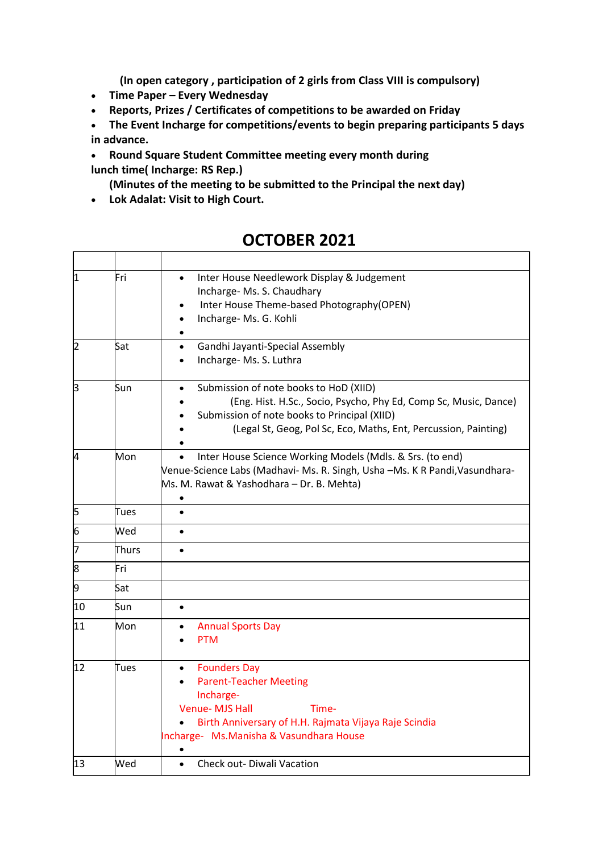**(In open category , participation of 2 girls from Class VIII is compulsory)**

- **Time Paper – Every Wednesday**
- **Reports, Prizes / Certificates of competitions to be awarded on Friday**

 **The Event Incharge for competitions/events to begin preparing participants 5 days in advance.**

 **Round Square Student Committee meeting every month during lunch time( Incharge: RS Rep.)**

**(Minutes of the meeting to be submitted to the Principal the next day)**

**Lok Adalat: Visit to High Court.**

| 1              | Fri   | Inter House Needlework Display & Judgement<br>Incharge- Ms. S. Chaudhary<br>Inter House Theme-based Photography(OPEN)<br>Incharge-Ms. G. Kohli                                                                                             |
|----------------|-------|--------------------------------------------------------------------------------------------------------------------------------------------------------------------------------------------------------------------------------------------|
| $\overline{2}$ | Sat   | Gandhi Jayanti-Special Assembly<br>Incharge- Ms. S. Luthra                                                                                                                                                                                 |
| з              | Sun   | Submission of note books to HoD (XIID)<br>$\bullet$<br>(Eng. Hist. H.Sc., Socio, Psycho, Phy Ed, Comp Sc, Music, Dance)<br>Submission of note books to Principal (XIID)<br>(Legal St, Geog, Pol Sc, Eco, Maths, Ent, Percussion, Painting) |
| 4              | Mon   | Inter House Science Working Models (Mdls. & Srs. (to end)<br>Venue-Science Labs (Madhavi- Ms. R. Singh, Usha -Ms. K R Pandi, Vasundhara-<br>Ms. M. Rawat & Yashodhara - Dr. B. Mehta)                                                      |
| 5              | Tues  |                                                                                                                                                                                                                                            |
| 6              | Wed   | $\bullet$                                                                                                                                                                                                                                  |
| 7              | Thurs | $\bullet$                                                                                                                                                                                                                                  |
| 8              | Fri   |                                                                                                                                                                                                                                            |
| 9              | Sat   |                                                                                                                                                                                                                                            |
| 10             | Sun   | $\bullet$                                                                                                                                                                                                                                  |
| 11             | Mon   | <b>Annual Sports Day</b><br><b>PTM</b>                                                                                                                                                                                                     |
| 12             | Tues  | <b>Founders Day</b><br>$\bullet$<br><b>Parent-Teacher Meeting</b><br>Incharge-<br><b>Venue-MJS Hall</b><br>Time-<br>Birth Anniversary of H.H. Rajmata Vijaya Raje Scindia<br>Incharge- Ms.Manisha & Vasundhara House                       |
| 13             | Wed   | Check out- Diwali Vacation                                                                                                                                                                                                                 |

### **OCTOBER 2021**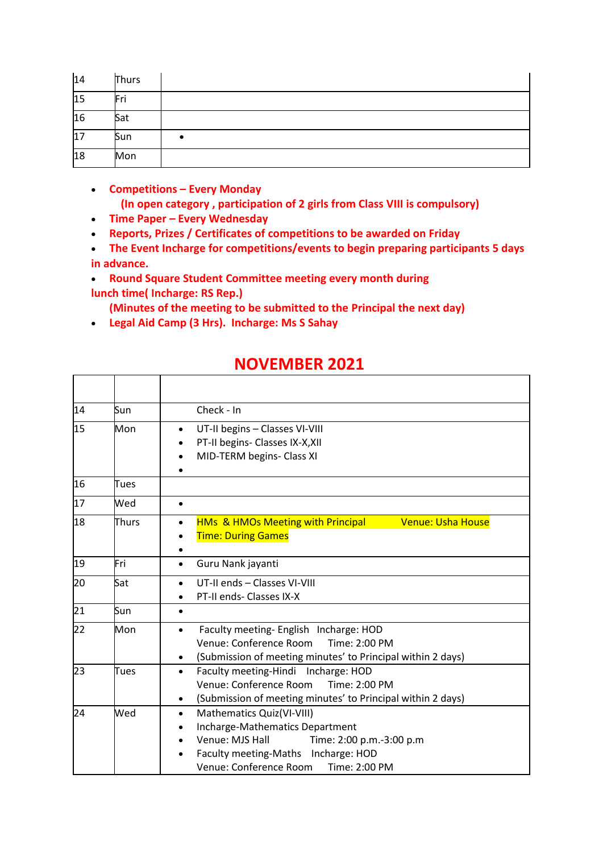| 14 | Thurs |  |
|----|-------|--|
| 15 | Fri   |  |
| 16 | Sat   |  |
| 17 | Sun   |  |
| 18 | Mon   |  |

- **Competitions – Every Monday (In open category , participation of 2 girls from Class VIII is compulsory)**
- **Time Paper – Every Wednesday**

 $\Gamma$ 

┱

T

- **Reports, Prizes / Certificates of competitions to be awarded on Friday**
- **The Event Incharge for competitions/events to begin preparing participants 5 days in advance.**
- **Round Square Student Committee meeting every month during lunch time( Incharge: RS Rep.)**

**(Minutes of the meeting to be submitted to the Principal the next day)**

**Legal Aid Camp (3 Hrs). Incharge: Ms S Sahay**

### **NOVEMBER 2021**

 $\overline{\phantom{a}}$ 

| 14 | Sun   | Check - In                                                                                                                                                                                                 |
|----|-------|------------------------------------------------------------------------------------------------------------------------------------------------------------------------------------------------------------|
| 15 | Mon   | UT-II begins - Classes VI-VIII<br>$\bullet$<br>PT-II begins- Classes IX-X,XII<br>MID-TERM begins- Class XI                                                                                                 |
| 16 | Tues  |                                                                                                                                                                                                            |
| 17 | Wed   | $\bullet$                                                                                                                                                                                                  |
| 18 | Thurs | <b>HMs &amp; HMOs Meeting with Principal</b><br><b>Venue: Usha House</b><br><b>Time: During Games</b>                                                                                                      |
| 19 | Fri   | Guru Nank jayanti<br>$\bullet$                                                                                                                                                                             |
| 20 | Sat   | UT-II ends - Classes VI-VIII<br>$\bullet$<br>PT-II ends- Classes IX-X                                                                                                                                      |
| 21 | Sun   | $\bullet$                                                                                                                                                                                                  |
| 22 | Mon   | Faculty meeting-English Incharge: HOD<br>$\bullet$<br>Venue: Conference Room<br>Time: 2:00 PM<br>(Submission of meeting minutes' to Principal within 2 days)<br>$\bullet$                                  |
| 23 | Tues  | Faculty meeting-Hindi Incharge: HOD<br>$\bullet$<br>Venue: Conference Room<br>Time: 2:00 PM<br>(Submission of meeting minutes' to Principal within 2 days)<br>$\bullet$                                    |
| 24 | Wed   | Mathematics Quiz(VI-VIII)<br>$\bullet$<br>Incharge-Mathematics Department<br>Venue: MJS Hall<br>Time: 2:00 p.m.-3:00 p.m<br>Faculty meeting-Maths Incharge: HOD<br>Venue: Conference Room<br>Time: 2:00 PM |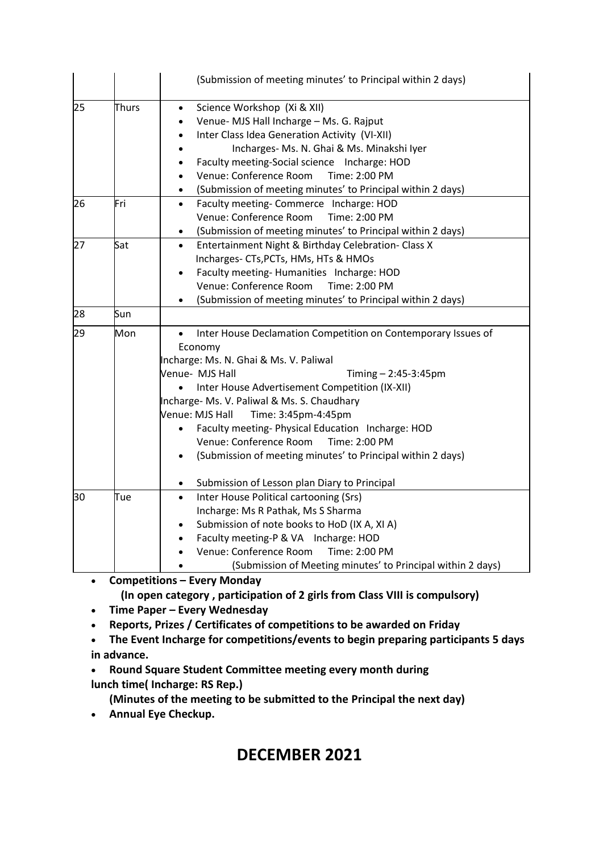|    |              | (Submission of meeting minutes' to Principal within 2 days)              |
|----|--------------|--------------------------------------------------------------------------|
| 25 | <b>Thurs</b> | Science Workshop (Xi & XII)<br>$\bullet$                                 |
|    |              | Venue- MJS Hall Incharge - Ms. G. Rajput<br>$\bullet$                    |
|    |              | Inter Class Idea Generation Activity (VI-XII)<br>$\bullet$               |
|    |              | Incharges- Ms. N. Ghai & Ms. Minakshi Iyer                               |
|    |              | Faculty meeting-Social science Incharge: HOD<br>$\bullet$                |
|    |              | Venue: Conference Room<br>Time: 2:00 PM<br>$\bullet$                     |
|    |              | (Submission of meeting minutes' to Principal within 2 days)<br>$\bullet$ |
| 26 | Fri          | Faculty meeting- Commerce Incharge: HOD<br>$\bullet$                     |
|    |              | Venue: Conference Room<br>Time: 2:00 PM                                  |
|    |              | (Submission of meeting minutes' to Principal within 2 days)              |
| 27 | Sat          | Entertainment Night & Birthday Celebration- Class X<br>$\bullet$         |
|    |              | Incharges- CTs, PCTs, HMs, HTs & HMOs                                    |
|    |              | Faculty meeting-Humanities Incharge: HOD                                 |
|    |              | Venue: Conference Room<br>Time: 2:00 PM                                  |
|    |              | (Submission of meeting minutes' to Principal within 2 days)              |
| 28 | Sun          |                                                                          |
| 29 | Mon          | Inter House Declamation Competition on Contemporary Issues of            |
|    |              | Economy                                                                  |
|    |              | Incharge: Ms. N. Ghai & Ms. V. Paliwal                                   |
|    |              | Venue- MJS Hall<br>Timing $- 2:45 - 3:45$ pm                             |
|    |              | Inter House Advertisement Competition (IX-XII)                           |
|    |              | Incharge- Ms. V. Paliwal & Ms. S. Chaudhary                              |
|    |              | Venue: MJS Hall<br>Time: 3:45pm-4:45pm                                   |
|    |              | Faculty meeting- Physical Education Incharge: HOD                        |
|    |              | Venue: Conference Room<br>Time: 2:00 PM                                  |
|    |              | (Submission of meeting minutes' to Principal within 2 days)              |
|    |              | Submission of Lesson plan Diary to Principal<br>$\bullet$                |
| 30 | Tue          | Inter House Political cartooning (Srs)<br>$\bullet$                      |
|    |              | Incharge: Ms R Pathak, Ms S Sharma                                       |
|    |              | Submission of note books to HoD (IX A, XI A)                             |
|    |              | Faculty meeting-P & VA Incharge: HOD                                     |
|    |              | Venue: Conference Room<br>Time: 2:00 PM                                  |
|    |              | (Submission of Meeting minutes' to Principal within 2 days)              |

**(In open category , participation of 2 girls from Class VIII is compulsory)**

- **Time Paper – Every Wednesday**
- **Reports, Prizes / Certificates of competitions to be awarded on Friday**

 **The Event Incharge for competitions/events to begin preparing participants 5 days in advance.**

 **Round Square Student Committee meeting every month during lunch time( Incharge: RS Rep.)**

**(Minutes of the meeting to be submitted to the Principal the next day)**

**Annual Eye Checkup.**

# **DECEMBER 2021**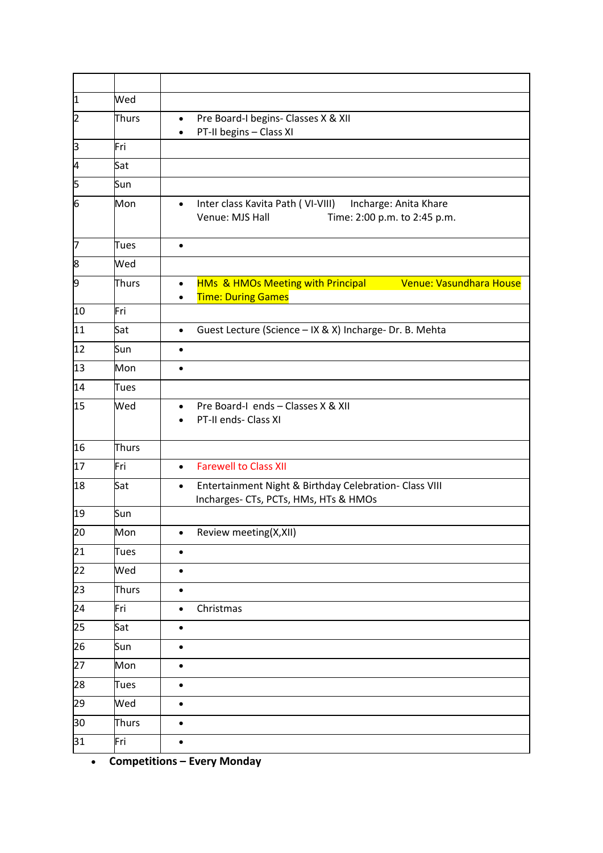| $\mathbf{1}$   | Wed          |                                                                                                                            |
|----------------|--------------|----------------------------------------------------------------------------------------------------------------------------|
| $\overline{2}$ | Thurs        | Pre Board-I begins- Classes X & XII<br>$\bullet$<br>PT-II begins - Class XI<br>$\bullet$                                   |
| $\overline{3}$ | Fri          |                                                                                                                            |
| 4              | Sat          |                                                                                                                            |
| 5              | Sun          |                                                                                                                            |
| 6              | Mon          | Inter class Kavita Path (VI-VIII)<br>Incharge: Anita Khare<br>$\bullet$<br>Venue: MJS Hall<br>Time: 2:00 p.m. to 2:45 p.m. |
| 7              | <b>Tues</b>  | $\bullet$                                                                                                                  |
| 8              | Wed          |                                                                                                                            |
| 9              | Thurs        | HMs & HMOs Meeting with Principal Venue: Vasundhara House<br>$\bullet$<br><b>Time: During Games</b>                        |
| 10             | Fri          |                                                                                                                            |
| 11             | Sat          | Guest Lecture (Science - IX & X) Incharge- Dr. B. Mehta<br>$\bullet$                                                       |
| 12             | Sun          | $\bullet$                                                                                                                  |
| 13             | Mon          | $\bullet$                                                                                                                  |
| 14             | Tues         |                                                                                                                            |
| 15             | Wed          | Pre Board-I ends - Classes X & XII<br>PT-II ends- Class XI                                                                 |
| 16             | Thurs        |                                                                                                                            |
| 17             | Fri          | <b>Farewell to Class XII</b><br>$\bullet$                                                                                  |
| 18             | Sat          | Entertainment Night & Birthday Celebration- Class VIII<br>$\bullet$<br>Incharges- CTs, PCTs, HMs, HTs & HMOs               |
| 19             | Sun          |                                                                                                                            |
| 20             | Mon          | Review meeting(X,XII)<br>٠                                                                                                 |
| 21             | <b>Tues</b>  | $\bullet$                                                                                                                  |
| 22             | Wed          | $\bullet$                                                                                                                  |
| 23             | Thurs        | $\bullet$                                                                                                                  |
| 24             | Fri          | Christmas<br>$\bullet$                                                                                                     |
| 25             | Sat          | $\bullet$                                                                                                                  |
| 26             | Sun          | $\bullet$                                                                                                                  |
| 27             | Mon          | $\bullet$                                                                                                                  |
| 28             | Tues         | $\bullet$                                                                                                                  |
| 29             | Wed          | $\bullet$                                                                                                                  |
| 30             | <b>Thurs</b> | $\bullet$                                                                                                                  |
| 31             | Fri          | ٠                                                                                                                          |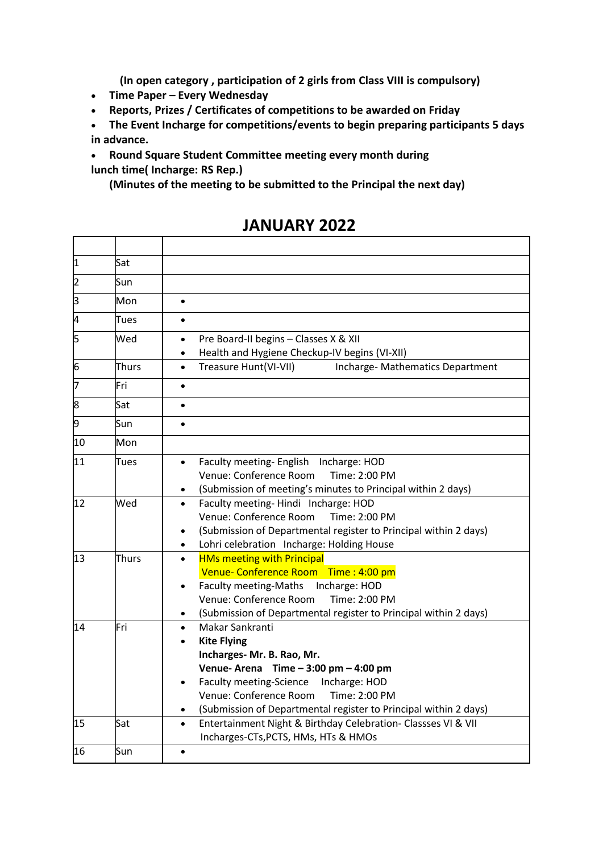**(In open category , participation of 2 girls from Class VIII is compulsory)**

**Time Paper – Every Wednesday**

Τ

Г

Т

- **Reports, Prizes / Certificates of competitions to be awarded on Friday**
- **The Event Incharge for competitions/events to begin preparing participants 5 days in advance.**

 **Round Square Student Committee meeting every month during lunch time( Incharge: RS Rep.)**

**(Minutes of the meeting to be submitted to the Principal the next day)**

#### **JANUARY 2022**

| $\overline{\mathbf{1}}$ | Sat   |                                                                                                                                                                                                                                                                                                                           |
|-------------------------|-------|---------------------------------------------------------------------------------------------------------------------------------------------------------------------------------------------------------------------------------------------------------------------------------------------------------------------------|
| $\overline{2}$          | Sun   |                                                                                                                                                                                                                                                                                                                           |
| 3                       | Mon   | $\bullet$                                                                                                                                                                                                                                                                                                                 |
| 4                       | Tues  | $\bullet$                                                                                                                                                                                                                                                                                                                 |
| 5                       | Wed   | Pre Board-II begins - Classes X & XII<br>$\bullet$<br>Health and Hygiene Checkup-IV begins (VI-XII)<br>$\bullet$                                                                                                                                                                                                          |
| $\overline{6}$          | Thurs | Treasure Hunt(VI-VII)<br>Incharge- Mathematics Department<br>$\bullet$                                                                                                                                                                                                                                                    |
| 7                       | Fri   | $\bullet$                                                                                                                                                                                                                                                                                                                 |
| 8                       | Sat   | $\bullet$                                                                                                                                                                                                                                                                                                                 |
| 9                       | Sun   | $\bullet$                                                                                                                                                                                                                                                                                                                 |
| 10                      | Mon   |                                                                                                                                                                                                                                                                                                                           |
| 11                      | Tues  | Faculty meeting- English Incharge: HOD<br>$\bullet$<br>Venue: Conference Room<br>Time: 2:00 PM<br>(Submission of meeting's minutes to Principal within 2 days)<br>$\bullet$                                                                                                                                               |
| 12                      | Wed   | Faculty meeting-Hindi Incharge: HOD<br>$\bullet$<br>Venue: Conference Room<br>Time: 2:00 PM<br>(Submission of Departmental register to Principal within 2 days)<br>$\bullet$<br>Lohri celebration Incharge: Holding House<br>$\bullet$                                                                                    |
| 13                      | Thurs | <b>HMs meeting with Principal</b><br>$\bullet$<br>Venue- Conference Room Time: 4:00 pm<br><b>Faculty meeting-Maths</b><br>Incharge: HOD<br>$\bullet$<br>Venue: Conference Room<br>Time: 2:00 PM<br>(Submission of Departmental register to Principal within 2 days)<br>$\bullet$                                          |
| 14                      | Fri   | Makar Sankranti<br>$\bullet$<br><b>Kite Flying</b><br>$\bullet$<br>Incharges- Mr. B. Rao, Mr.<br>Venue-Arena Time $-3:00$ pm $-4:00$ pm<br>Faculty meeting-Science Incharge: HOD<br>$\bullet$<br>Venue: Conference Room<br>Time: 2:00 PM<br>(Submission of Departmental register to Principal within 2 days)<br>$\bullet$ |
| 15                      | Sat   | Entertainment Night & Birthday Celebration- Classses VI & VII<br>$\bullet$<br>Incharges-CTs, PCTS, HMs, HTs & HMOs                                                                                                                                                                                                        |
| 16                      | Sun   | $\bullet$                                                                                                                                                                                                                                                                                                                 |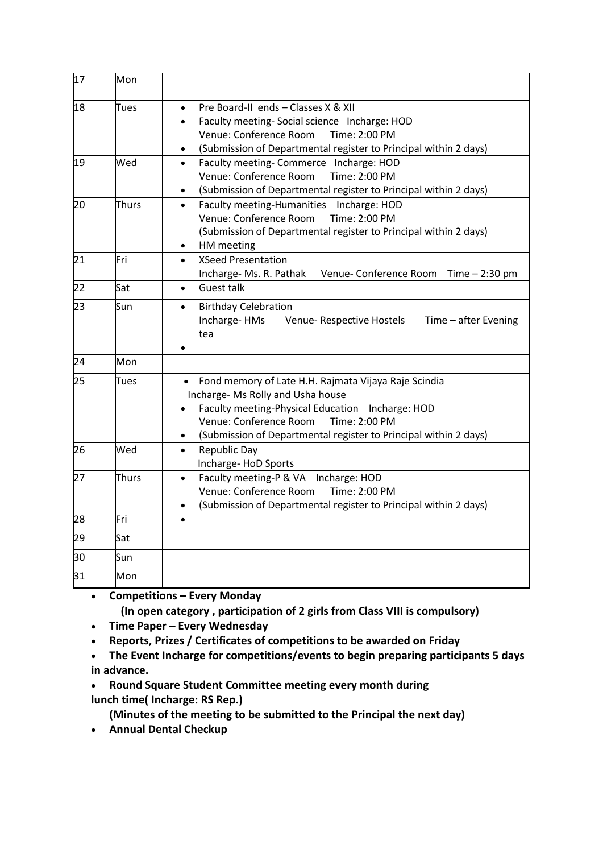| 17 | Mon   |                                                                                                                                                                                                                                                           |
|----|-------|-----------------------------------------------------------------------------------------------------------------------------------------------------------------------------------------------------------------------------------------------------------|
| 18 | Tues  | Pre Board-II ends - Classes X & XII<br>$\bullet$<br>Faculty meeting-Social science Incharge: HOD<br>Venue: Conference Room<br>Time: 2:00 PM<br>(Submission of Departmental register to Principal within 2 days)                                           |
| 19 | Wed   | Faculty meeting- Commerce Incharge: HOD<br>$\bullet$<br>Venue: Conference Room<br>Time: 2:00 PM<br>(Submission of Departmental register to Principal within 2 days)                                                                                       |
| 20 | Thurs | Faculty meeting-Humanities Incharge: HOD<br>$\bullet$<br>Venue: Conference Room<br>Time: 2:00 PM<br>(Submission of Departmental register to Principal within 2 days)<br>HM meeting                                                                        |
| 21 | Fri   | <b>XSeed Presentation</b><br>$\bullet$<br>Incharge- Ms. R. Pathak Venue-Conference Room Time - 2:30 pm                                                                                                                                                    |
| 22 | Sat   | <b>Guest talk</b><br>$\bullet$                                                                                                                                                                                                                            |
| 23 | Sun   | <b>Birthday Celebration</b><br>$\bullet$<br>Incharge-HMs<br>Venue-Respective Hostels Time - after Evening<br>tea                                                                                                                                          |
| 24 | Mon   |                                                                                                                                                                                                                                                           |
| 25 | Tues  | Fond memory of Late H.H. Rajmata Vijaya Raje Scindia<br>Incharge- Ms Rolly and Usha house<br>Faculty meeting-Physical Education Incharge: HOD<br>Venue: Conference Room Time: 2:00 PM<br>(Submission of Departmental register to Principal within 2 days) |
| 26 | Wed   | Republic Day<br>Incharge-HoD Sports                                                                                                                                                                                                                       |
| 27 | Thurs | Faculty meeting-P & VA Incharge: HOD<br>$\bullet$<br>Venue: Conference Room<br>Time: 2:00 PM<br>(Submission of Departmental register to Principal within 2 days)                                                                                          |
| 28 | Fri   |                                                                                                                                                                                                                                                           |
| 29 | Sat   |                                                                                                                                                                                                                                                           |
| 30 | Sun   |                                                                                                                                                                                                                                                           |
| 31 | Mon   |                                                                                                                                                                                                                                                           |

**(In open category , participation of 2 girls from Class VIII is compulsory)**

- **Time Paper – Every Wednesday**
- **Reports, Prizes / Certificates of competitions to be awarded on Friday**
- **The Event Incharge for competitions/events to begin preparing participants 5 days in advance.**
- **Round Square Student Committee meeting every month during lunch time( Incharge: RS Rep.)**

**(Minutes of the meeting to be submitted to the Principal the next day)**

**• Annual Dental Checkup**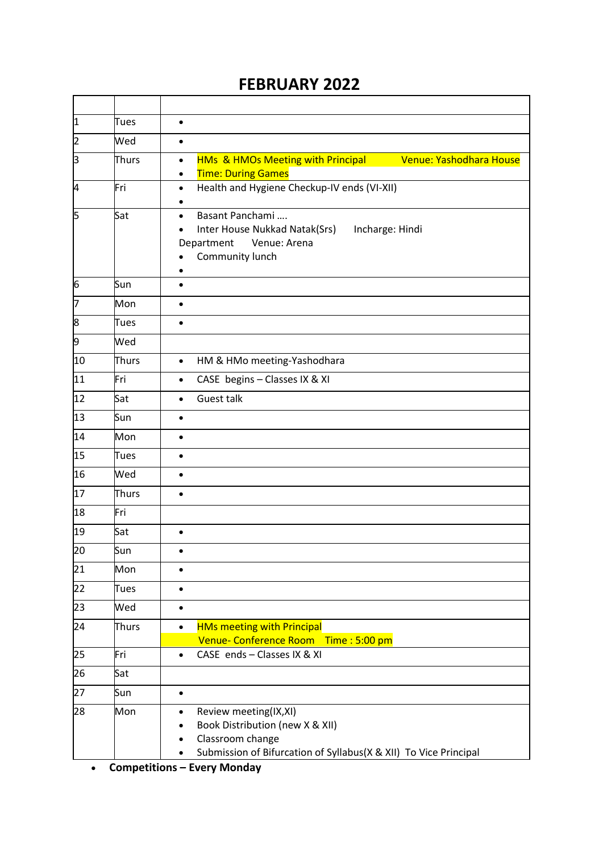# **FEBRUARY 2022**

| $\mathbf{1}$   | Tues         | $\bullet$                                                                                                                                                     |  |
|----------------|--------------|---------------------------------------------------------------------------------------------------------------------------------------------------------------|--|
| $\overline{2}$ | Wed          | $\bullet$                                                                                                                                                     |  |
| 3              | <b>Thurs</b> | HMs & HMOs Meeting with Principal Venue: Yashodhara House<br>$\bullet$<br><b>Time: During Games</b><br>$\bullet$                                              |  |
| 4              | Fri          | Health and Hygiene Checkup-IV ends (VI-XII)<br>$\bullet$                                                                                                      |  |
| 5              | Sat          | Basant Panchami<br>$\bullet$<br>Inter House Nukkad Natak(Srs)<br>Incharge: Hindi<br>Department<br>Venue: Arena<br>Community lunch                             |  |
| 6              | Sun          |                                                                                                                                                               |  |
| 7              | Mon          | $\bullet$                                                                                                                                                     |  |
| 8              | <b>Tues</b>  | $\bullet$                                                                                                                                                     |  |
| 9              | Wed          |                                                                                                                                                               |  |
| 10             | <b>Thurs</b> | HM & HMo meeting-Yashodhara<br>$\bullet$                                                                                                                      |  |
| 11             | Fri          | CASE begins - Classes IX & XI<br>$\bullet$                                                                                                                    |  |
| 12             | Sat          | <b>Guest talk</b><br>$\bullet$                                                                                                                                |  |
| 13             | Sun          | $\bullet$                                                                                                                                                     |  |
| 14             | Mon          | $\bullet$                                                                                                                                                     |  |
| 15             | <b>Tues</b>  | $\bullet$                                                                                                                                                     |  |
| 16             | Wed          | $\bullet$                                                                                                                                                     |  |
| 17             | <b>Thurs</b> | $\bullet$                                                                                                                                                     |  |
| 18             | Fri          |                                                                                                                                                               |  |
| 19             | Sat          | $\bullet$                                                                                                                                                     |  |
| 20             | Sun          |                                                                                                                                                               |  |
| 21             | Mon          | $\bullet$                                                                                                                                                     |  |
| 22             | <b>Tues</b>  | $\bullet$                                                                                                                                                     |  |
| 23             | Wed          | $\bullet$                                                                                                                                                     |  |
| 24             | <b>Thurs</b> | <b>HMs meeting with Principal</b><br>$\bullet$                                                                                                                |  |
|                |              | Venue- Conference Room Time: 5:00 pm                                                                                                                          |  |
| 25             | Fri          | CASE ends - Classes IX & XI<br>$\bullet$                                                                                                                      |  |
| 26             | Sat          |                                                                                                                                                               |  |
| 27             | Sun          | $\bullet$                                                                                                                                                     |  |
| 28             | Mon          | Review meeting(IX,XI)<br>$\bullet$<br>Book Distribution (new X & XII)<br>Classroom change<br>Submission of Bifurcation of Syllabus(X & XII) To Vice Principal |  |
|                |              |                                                                                                                                                               |  |

**Competitions – Every Monday**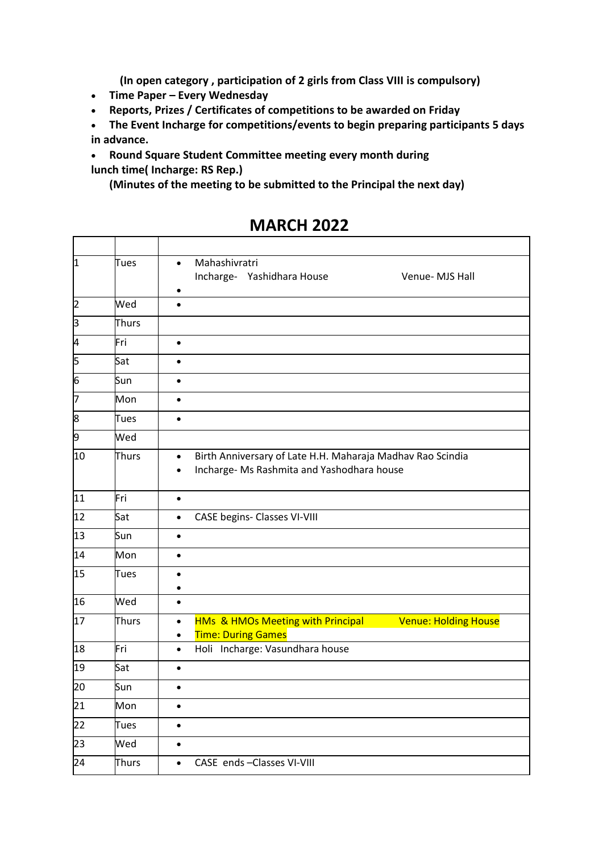**(In open category , participation of 2 girls from Class VIII is compulsory)**

- **Time Paper – Every Wednesday**
- **Reports, Prizes / Certificates of competitions to be awarded on Friday**
- **The Event Incharge for competitions/events to begin preparing participants 5 days in advance.**

 **Round Square Student Committee meeting every month during lunch time( Incharge: RS Rep.)**

**(Minutes of the meeting to be submitted to the Principal the next day)**

#### 1 Tues Mahashivratri Incharge- Yashidhara House Venue- MJS Hall  $\bullet$ 2 Wed **.** 3 Thurs 4 Fri 5 Sat  $\overline{6}$  Sun |  $\bullet$ 7 Mon 8 Tues 9 Wed 10 Thurs | . Birth Anniversary of Late H.H. Maharaja Madhav Rao Scindia • Incharge- Ms Rashmita and Yashodhara house 11 Fri 12 Sat **•** CASE begins- Classes VI-VIII 13 Sun  $14$  Mon  $\sqrt{ }$ 15 Tues  $\bullet$ 16 **Wed** • 17 Thurs **• HMs & HMOs Meeting with Principal Venue: Holding House** • **Time: During Games** 18 Fri Holi Incharge: Vasundhara house 19 Sat 20 Sun 21 **Mon**  $\bullet$  $22$  Tues  $\overline{\phantom{a}}$ 23 Wed 24 Thurs CASE ends –Classes VI-VIII

## **MARCH 2022**